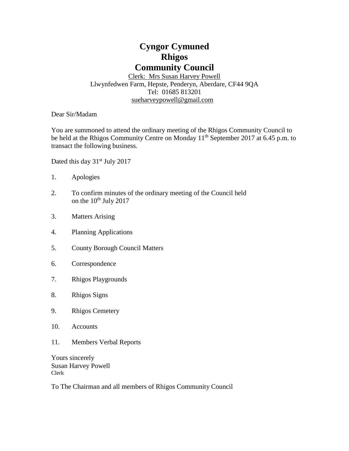# **Cyngor Cymuned Rhigos Community Council**

Clerk: Mrs Susan Harvey Powell Llwynfedwen Farm, Hepste, Penderyn, Aberdare, CF44 9QA Tel: 01685 813201 [sueharveypowell@g](mailto:sharveypowell@comin-infants.co.uk)mail.com

Dear Sir/Madam

You are summoned to attend the ordinary meeting of the Rhigos Community Council to be held at the Rhigos Community Centre on Monday 11<sup>th</sup> September 2017 at 6.45 p.m. to transact the following business.

Dated this day 31<sup>st</sup> July 2017

- 1. Apologies
- 2. To confirm minutes of the ordinary meeting of the Council held on the  $10^{th}$  July 2017
- 3. Matters Arising
- 4. Planning Applications
- 5. County Borough Council Matters
- 6. Correspondence
- 7. Rhigos Playgrounds
- 8. Rhigos Signs
- 9. Rhigos Cemetery
- 10. Accounts
- 11. Members Verbal Reports

Yours sincerely Susan Harvey Powell Clerk

To The Chairman and all members of Rhigos Community Council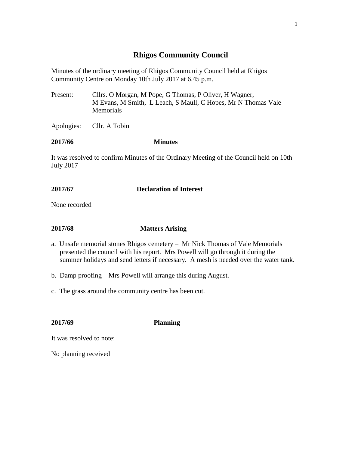# **Rhigos Community Council**

Minutes of the ordinary meeting of Rhigos Community Council held at Rhigos Community Centre on Monday 10th July 2017 at 6.45 p.m.

Present: Cllrs. O Morgan, M Pope, G Thomas, P Oliver, H Wagner, M Evans, M Smith, L Leach, S Maull, C Hopes, Mr N Thomas Vale **Memorials** 

Apologies: Cllr. A Tobin

#### **2017/66 Minutes**

It was resolved to confirm Minutes of the Ordinary Meeting of the Council held on 10th July 2017

# **2017/67 Declaration of Interest**

None recorded

# **2017/68 Matters Arising**

- a. Unsafe memorial stones Rhigos cemetery Mr Nick Thomas of Vale Memorials presented the council with his report. Mrs Powell will go through it during the summer holidays and send letters if necessary. A mesh is needed over the water tank.
- b. Damp proofing Mrs Powell will arrange this during August.
- c. The grass around the community centre has been cut.

**2017/69 Planning**

It was resolved to note:

No planning received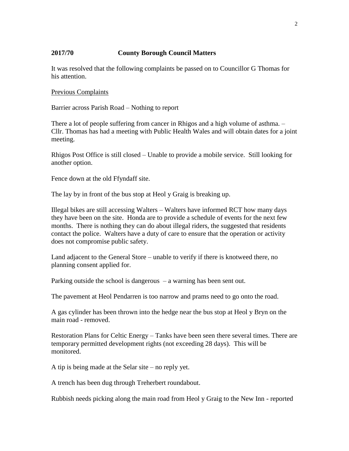## **2017/70 County Borough Council Matters**

It was resolved that the following complaints be passed on to Councillor G Thomas for his attention.

#### Previous Complaints

Barrier across Parish Road – Nothing to report

There a lot of people suffering from cancer in Rhigos and a high volume of asthma. – Cllr. Thomas has had a meeting with Public Health Wales and will obtain dates for a joint meeting.

Rhigos Post Office is still closed – Unable to provide a mobile service. Still looking for another option.

Fence down at the old Ffyndaff site.

The lay by in front of the bus stop at Heol y Graig is breaking up.

Illegal bikes are still accessing Walters – Walters have informed RCT how many days they have been on the site. Honda are to provide a schedule of events for the next few months. There is nothing they can do about illegal riders, the suggested that residents contact the police. Walters have a duty of care to ensure that the operation or activity does not compromise public safety.

Land adjacent to the General Store – unable to verify if there is knotweed there, no planning consent applied for.

Parking outside the school is dangerous – a warning has been sent out.

The pavement at Heol Pendarren is too narrow and prams need to go onto the road.

A gas cylinder has been thrown into the hedge near the bus stop at Heol y Bryn on the main road - removed.

Restoration Plans for Celtic Energy – Tanks have been seen there several times. There are temporary permitted development rights (not exceeding 28 days). This will be monitored.

A tip is being made at the Selar site – no reply yet.

A trench has been dug through Treherbert roundabout.

Rubbish needs picking along the main road from Heol y Graig to the New Inn - reported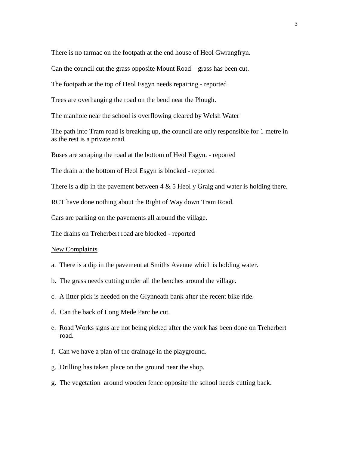There is no tarmac on the footpath at the end house of Heol Gwrangfryn.

Can the council cut the grass opposite Mount Road – grass has been cut.

The footpath at the top of Heol Esgyn needs repairing - reported

Trees are overhanging the road on the bend near the Plough.

The manhole near the school is overflowing cleared by Welsh Water

The path into Tram road is breaking up, the council are only responsible for 1 metre in as the rest is a private road.

Buses are scraping the road at the bottom of Heol Esgyn. - reported

The drain at the bottom of Heol Esgyn is blocked - reported

There is a dip in the pavement between  $4 \& 5$  Heol y Graig and water is holding there.

RCT have done nothing about the Right of Way down Tram Road.

Cars are parking on the pavements all around the village.

The drains on Treherbert road are blocked - reported

#### New Complaints

- a. There is a dip in the pavement at Smiths Avenue which is holding water.
- b. The grass needs cutting under all the benches around the village.
- c. A litter pick is needed on the Glynneath bank after the recent bike ride.
- d. Can the back of Long Mede Parc be cut.
- e. Road Works signs are not being picked after the work has been done on Treherbert road.
- f. Can we have a plan of the drainage in the playground.
- g. Drilling has taken place on the ground near the shop.
- g. The vegetation around wooden fence opposite the school needs cutting back.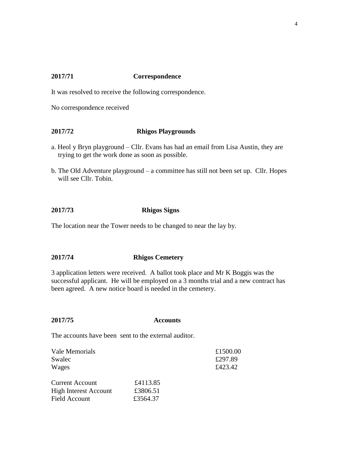# **2017/71 Correspondence**

It was resolved to receive the following correspondence.

No correspondence received

# **2017/72 Rhigos Playgrounds**

- a. Heol y Bryn playground Cllr. Evans has had an email from Lisa Austin, they are trying to get the work done as soon as possible.
- b. The Old Adventure playground a committee has still not been set up. Cllr. Hopes will see Cllr. Tobin.

### **2017/73 Rhigos Signs**

The location near the Tower needs to be changed to near the lay by.

#### **2017/74 Rhigos Cemetery**

3 application letters were received. A ballot took place and Mr K Boggis was the successful applicant. He will be employed on a 3 months trial and a new contract has been agreed. A new notice board is needed in the cemetery.

# **2017/75 Accounts**

The accounts have been sent to the external auditor.

| Vale Memorials<br>Swalec<br>Wages                                              |                                  | £1500.00<br>£297.89<br>£423.42 |
|--------------------------------------------------------------------------------|----------------------------------|--------------------------------|
| <b>Current Account</b><br><b>High Interest Account</b><br><b>Field Account</b> | £4113.85<br>£3806.51<br>£3564.37 |                                |